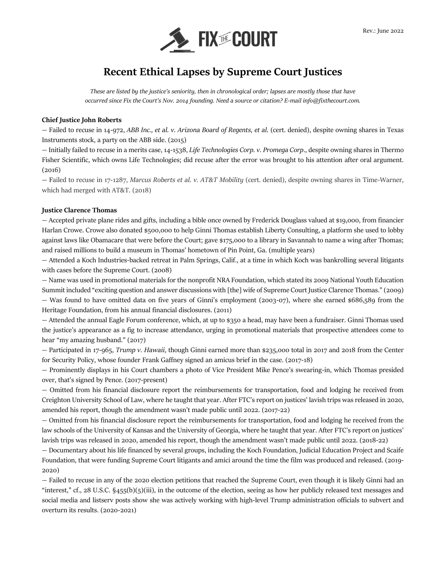

# **Recent Ethical Lapses by Supreme Court Justices**

*These are listed by the justice's seniority, then in chronological order; lapses are mostly those that have occurred since Fix the Court's Nov. 2014 founding. Need a source or citation? E-mail info@fixthecourt.com.* 

# **Chief Justice John Roberts**

— Failed to recuse in 14-972, *ABB Inc., et al. v. Arizona Board of Regents, et al.* (cert. denied), despite owning shares in Texas Instruments stock, a party on the ABB side. (2015)

— Initially failed to recuse in a merits case, 14-1538, *Life Technologies Corp. v. Promega Corp*., despite owning shares in Thermo Fisher Scientific, which owns Life Technologies; did recuse after the error was brought to his attention after oral argument. (2016)

— Failed to recuse in 17-1287, *Marcus Roberts et al. v. AT&T Mobility* (cert. denied), despite owning shares in Time-Warner, which had merged with AT&T. (2018)

## **Justice Clarence Thomas**

— Accepted private plane rides and gifts, including a bible once owned by Frederick Douglass valued at \$19,000, from financier Harlan Crowe. Crowe also donated \$500,000 to help Ginni Thomas establish Liberty Consulting, a platform she used to lobby against laws like Obamacare that were before the Court; gave \$175,000 to a library in Savannah to name a wing after Thomas; and raised millions to build a museum in Thomas' hometown of Pin Point, Ga. (multiple years)

— Attended a Koch Industries-backed retreat in Palm Springs, Calif., at a time in which Koch was bankrolling several litigants with cases before the Supreme Court. (2008)

— Name was used in promotional materials for the nonprofit NRA Foundation, which stated its 2009 National Youth Education Summit included "exciting question and answer discussions with [the] wife of Supreme Court Justice Clarence Thomas." (2009) — Was found to have omitted data on five years of Ginni's employment (2003-07), where she earned \$686,589 from the Heritage Foundation, from his annual financial disclosures. (2011)

— Attended the annual Eagle Forum conference, which, at up to \$350 a head, may have been a fundraiser. Ginni Thomas used the justice's appearance as a fig to increase attendance, urging in promotional materials that prospective attendees come to hear "my amazing husband." (2017)

— Participated in 17-965, *Trump v. Hawaii*, though Ginni earned more than \$235,000 total in 2017 and 2018 from the Center for Security Policy, whose founder Frank Gaffney signed an amicus brief in the case. (2017-18)

— Prominently displays in his Court chambers a photo of Vice President Mike Pence's swearing-in, which Thomas presided over, that's signed by Pence. (2017-present)

— Omitted from his financial disclosure report the reimbursements for transportation, food and lodging he received from Creighton University School of Law, where he taught that year. After FTC's report on justices' lavish trips was released in 2020, amended his report, though the amendment wasn't made public until 2022. (2017-22)

— Omitted from his financial disclosure report the reimbursements for transportation, food and lodging he received from the law schools of the University of Kansas and the University of Georgia, where he taught that year. After FTC's report on justices' lavish trips was released in 2020, amended his report, though the amendment wasn't made public until 2022. (2018-22)

— Documentary about his life financed by several groups, including the Koch Foundation, Judicial Education Project and Scaife Foundation, that were funding Supreme Court litigants and amici around the time the film was produced and released. (2019- 2020)

— Failed to recuse in any of the 2020 election petitions that reached the Supreme Court, even though it is likely Ginni had an "interest," cf., 28 U.S.C. §455(b)(5)(iii), in the outcome of the election, seeing as how her publicly released text messages and social media and listserv posts show she was actively working with high-level Trump administration officials to subvert and overturn its results. (2020-2021)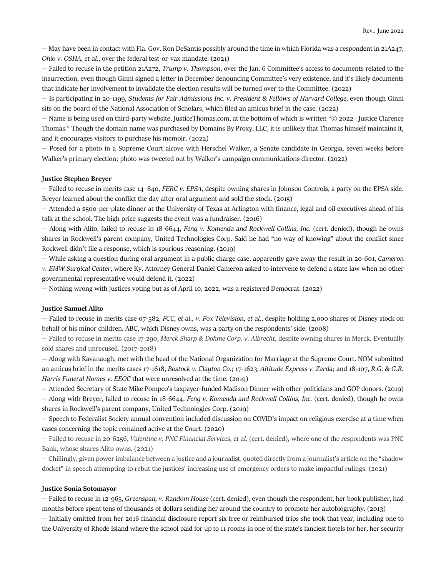— May have been in contact with Fla. Gov. Ron DeSantis possibly around the time in which Florida was a respondent in 21A247, *Ohio v. OSHA, et al.*, over the federal test-or-vax mandate. (2021)

— Failed to recuse in the petition 21A272, *Trump v. Thompson*, over the Jan. 6 Committee's access to documents related to the insurrection, even though Ginni signed a letter in December denouncing Committee's very existence, and it's likely documents that indicate her involvement to invalidate the election results will be turned over to the Committee. (2022)

— Is participating in 20-1199, *Students for Fair Admissions Inc. v. President & Fellows of Harvard College*, even though Ginni sits on the board of the National Association of Scholars, which filed an amicus brief in the case. (2022)

— Name is being used on third-party website, JusticeThomas.com, at the bottom of which is written "© 2022 · Justice Clarence Thomas." Though the domain name was purchased by Domains By Proxy, LLC, it is unlikely that Thomas himself maintains it, and it encourages visitors to purchase his memoir. (2022)

— Posed for a photo in a Supreme Court alcove with Herschel Walker, a Senate candidate in Georgia, seven weeks before Walker's primary election; photo was tweeted out by Walker's campaign communications director. (2022)

# **Justice Stephen Breyer**

— Failed to recuse in merits case 14–840, *FERC v. EPSA,* despite owning shares in Johnson Controls, a party on the EPSA side. Breyer learned about the conflict the day after oral argument and sold the stock. (2015)

— Attended a \$500-per-plate dinner at the University of Texas at Arlington with finance, legal and oil executives ahead of his talk at the school. The high price suggests the event was a fundraiser. (2016)

— Along with Alito, failed to recuse in 18-6644, *Feng v. Komenda and Rockwell Collins, Inc.* (cert. denied), though he owns shares in Rockwell's parent company, United Technologies Corp. Said he had "no way of knowing" about the conflict since Rockwell didn't file a response, which is spurious reasoning. (2019)

— While asking a question during oral argument in a public charge case, apparently gave away the result in 20-601, *Cameron v. EMW Surgical Center*, where Ky. Attorney General Daniel Cameron asked to intervene to defend a state law when no other governmental representative would defend it. (2022)

— Nothing wrong with justices voting but as of April 10, 2022, was a registered Democrat. (2022)

#### **Justice Samuel Alito**

— Failed to recuse in merits case 07-582, *FCC, et al., v. Fox Television*, *et al.*, despite holding 2,000 shares of Disney stock on behalf of his minor children. ABC, which Disney owns, was a party on the respondents' side. (2008)

— Failed to recuse in merits case 17-290, *Merck Sharp & Dohme Corp. v. Albrecht,* despite owning shares in Merck. Eventually sold shares and unrecused. (2017-2018)

— Along with Kavanaugh, met with the head of the National Organization for Marriage at the Supreme Court. NOM submitted an amicus brief in the merits cases 17-1618, *Bostock v. Clayton Co*.; 17-1623, *Altitude Express v. Zarda*; and 18-107, *R.G. & G.R. Harris Funeral Homes v. EEOC* that were unresolved at the time. (2019)

— Attended Secretary of State Mike Pompeo's taxpayer-funded Madison Dinner with other politicians and GOP donors. (2019) — Along with Breyer, failed to recuse in 18-6644, *Feng v. Komenda and Rockwell Collins, Inc.* (cert. denied), though he owns shares in Rockwell's parent company, United Technologies Corp. (2019)

— Speech to Federalist Society annual convention included discussion on COVID's impact on religious exercise at a time when cases concerning the topic remained active at the Court. (2020)

— Failed to recuse in 20-6256, *Valentine v. PNC Financial Services, et al*. (cert. denied), where one of the respondents was PNC Bank, whose shares Alito owns. (2021)

— Chillingly, given power imbalance between a justice and a journalist, quoted directly from a journalist's article on the "shadow docket" in speech attempting to rebut the justices' increasing use of emergency orders to make impactful rulings. (2021)

#### **Justice Sonia Sotomayor**

— Failed to recuse in 12-965, *Greenspan, v. Random House* (cert. denied), even though the respondent, her book publisher, had months before spent tens of thousands of dollars sending her around the country to promote her autobiography. (2013)

— Initially omitted from her 2016 financial disclosure report six free or reimbursed trips she took that year, including one to the University of Rhode Island where the school paid for up to 11 rooms in one of the state's fanciest hotels for her, her security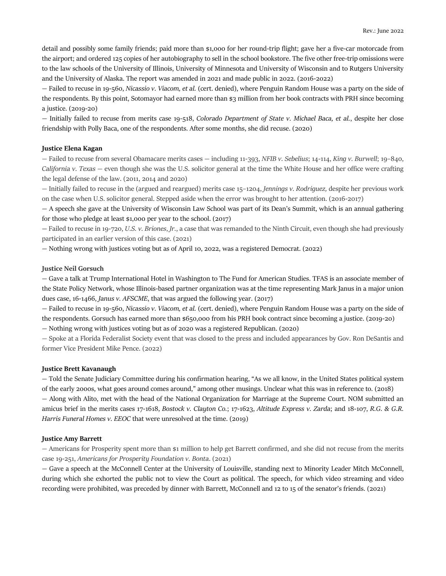detail and possibly some family friends; paid more than \$1,000 for her round-trip flight; gave her a five-car motorcade from the airport; and ordered 125 copies of her autobiography to sell in the school bookstore. The five other free-trip omissions were to the law schools of the University of Illinois, University of Minnesota and University of Wisconsin and to Rutgers University and the University of Alaska. The report was amended in 2021 and made public in 2022. (2016-2022)

— Failed to recuse in 19-560, *Nicassio v. Viacom, et al.* (cert. denied), where Penguin Random House was a party on the side of the respondents. By this point, Sotomayor had earned more than \$3 million from her book contracts with PRH since becoming a justice. (2019-20)

— Initially failed to recuse from merits case 19-518, *Colorado Department of State v. Michael Baca, et al.*, despite her close friendship with Polly Baca, one of the respondents. After some months, she did recuse. (2020)

# **Justice Elena Kagan**

— Failed to recuse from several Obamacare merits cases — including 11-393, *NFIB v. Sebelius*; 14-114, *King v. Burwell*; 19–840, *California v. Texas* — even though she was the U.S. solicitor general at the time the White House and her office were crafting the legal defense of the law. (2011, 2014 and 2020)

— Initially failed to recuse in the (argued and reargued) merits case 15–1204, *Jennings v. Rodriguez,* despite her previous work on the case when U.S. solicitor general. Stepped aside when the error was brought to her attention. (2016-2017)

— A speech she gave at the University of Wisconsin Law School was part of its Dean's Summit, which is an annual gathering for those who pledge at least \$1,000 per year to the school. (2017)

— Failed to recuse in 19-720, *U.S. v. Briones*, *Jr.*, a case that was remanded to the Ninth Circuit, even though she had previously participated in an earlier version of this case. (2021)

— Nothing wrong with justices voting but as of April 10, 2022, was a registered Democrat. (2022)

#### **Justice Neil Gorsuch**

— Gave a talk at Trump International Hotel in Washington to The Fund for American Studies. TFAS is an associate member of the State Policy Network, whose Illinois-based partner organization was at the time representing Mark Janus in a major union dues case, 16-1466, *Janus v. AFSCME*, that was argued the following year. (2017)

— Failed to recuse in 19-560, *Nicassio v. Viacom, et al.* (cert. denied), where Penguin Random House was a party on the side of the respondents. Gorsuch has earned more than \$650,000 from his PRH book contract since becoming a justice. (2019-20)

— Nothing wrong with justices voting but as of 2020 was a registered Republican. (2020)

— Spoke at a Florida Federalist Society event that was closed to the press and included appearances by Gov. Ron DeSantis and former Vice President Mike Pence. (2022)

## **Justice Brett Kavanaugh**

— Told the Senate Judiciary Committee during his confirmation hearing, "As we all know, in the United States political system of the early 2000s, what goes around comes around," among other musings. Unclear what this was in reference to. (2018) — Along with Alito, met with the head of the National Organization for Marriage at the Supreme Court. NOM submitted an amicus brief in the merits cases 17-1618, *Bostock v. Clayton Co.*; 17-1623, *Altitude Express v. Zarda*; and 18-107, *R.G. & G.R. Harris Funeral Homes v. EEOC* that were unresolved at the time. (2019)

#### **Justice Amy Barrett**

— Americans for Prosperity spent more than \$1 million to help get Barrett confirmed, and she did not recuse from the merits case 19-251, *Americans for Prosperity Foundation v. Bonta*. (2021)

— Gave a speech at the McConnell Center at the University of Louisville, standing next to Minority Leader Mitch McConnell, during which she exhorted the public not to view the Court as political. The speech, for which video streaming and video recording were prohibited, was preceded by dinner with Barrett, McConnell and 12 to 15 of the senator's friends. (2021)